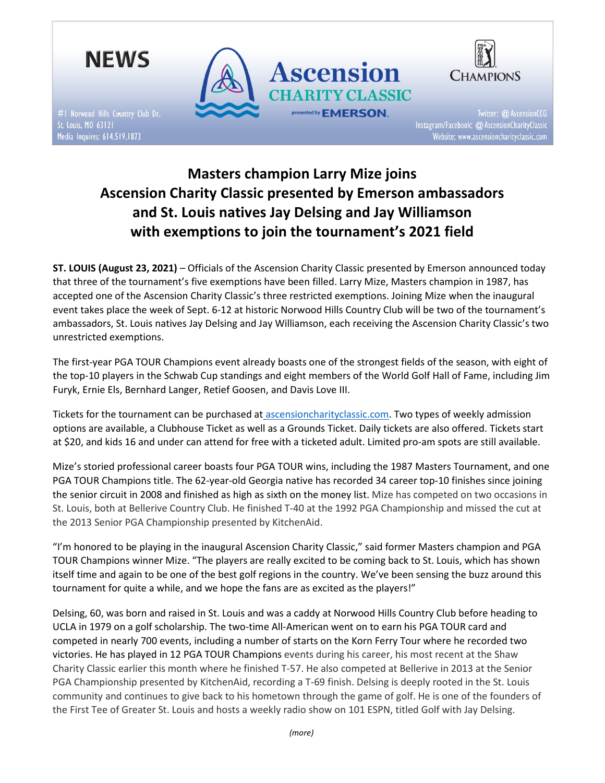

#1 Norwood Hills Country Club Dr. St. Louis, MO 63121 Media Inquires: 614.519.1873





Twitter: @ AscensionCCG Instagram/Facebook: @ AscensionCharityClassic Website: www.ascensioncharityclassic.com

# Masters champion Larry Mize joins Ascension Charity Classic presented by Emerson ambassadors and St. Louis natives Jay Delsing and Jay Williamson with exemptions to join the tournament's 2021 field

ST. LOUIS (August 23, 2021) – Officials of the Ascension Charity Classic presented by Emerson announced today that three of the tournament's five exemptions have been filled. Larry Mize, Masters champion in 1987, has accepted one of the Ascension Charity Classic's three restricted exemptions. Joining Mize when the inaugural event takes place the week of Sept. 6-12 at historic Norwood Hills Country Club will be two of the tournament's ambassadors, St. Louis natives Jay Delsing and Jay Williamson, each receiving the Ascension Charity Classic's two unrestricted exemptions.

The first-year PGA TOUR Champions event already boasts one of the strongest fields of the season, with eight of the top-10 players in the Schwab Cup standings and eight members of the World Golf Hall of Fame, including Jim Furyk, Ernie Els, Bernhard Langer, Retief Goosen, and Davis Love III.

Tickets for the tournament can be purchased at ascensioncharityclassic.com. Two types of weekly admission options are available, a Clubhouse Ticket as well as a Grounds Ticket. Daily tickets are also offered. Tickets start at \$20, and kids 16 and under can attend for free with a ticketed adult. Limited pro-am spots are still available.

Mize's storied professional career boasts four PGA TOUR wins, including the 1987 Masters Tournament, and one PGA TOUR Champions title. The 62-year-old Georgia native has recorded 34 career top-10 finishes since joining the senior circuit in 2008 and finished as high as sixth on the money list. Mize has competed on two occasions in St. Louis, both at Bellerive Country Club. He finished T-40 at the 1992 PGA Championship and missed the cut at the 2013 Senior PGA Championship presented by KitchenAid.

"I'm honored to be playing in the inaugural Ascension Charity Classic," said former Masters champion and PGA TOUR Champions winner Mize. "The players are really excited to be coming back to St. Louis, which has shown itself time and again to be one of the best golf regions in the country. We've been sensing the buzz around this tournament for quite a while, and we hope the fans are as excited as the players!"

Delsing, 60, was born and raised in St. Louis and was a caddy at Norwood Hills Country Club before heading to UCLA in 1979 on a golf scholarship. The two-time All-American went on to earn his PGA TOUR card and competed in nearly 700 events, including a number of starts on the Korn Ferry Tour where he recorded two victories. He has played in 12 PGA TOUR Champions events during his career, his most recent at the Shaw Charity Classic earlier this month where he finished T-57. He also competed at Bellerive in 2013 at the Senior PGA Championship presented by KitchenAid, recording a T-69 finish. Delsing is deeply rooted in the St. Louis community and continues to give back to his hometown through the game of golf. He is one of the founders of the First Tee of Greater St. Louis and hosts a weekly radio show on 101 ESPN, titled Golf with Jay Delsing.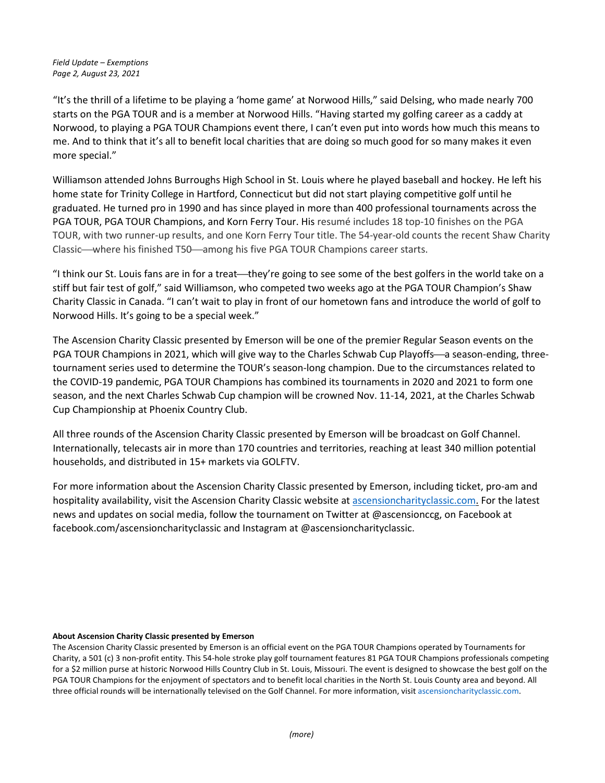"It's the thrill of a lifetime to be playing a 'home game' at Norwood Hills," said Delsing, who made nearly 700 starts on the PGA TOUR and is a member at Norwood Hills. "Having started my golfing career as a caddy at Norwood, to playing a PGA TOUR Champions event there, I can't even put into words how much this means to me. And to think that it's all to benefit local charities that are doing so much good for so many makes it even more special."

Williamson attended Johns Burroughs High School in St. Louis where he played baseball and hockey. He left his home state for Trinity College in Hartford, Connecticut but did not start playing competitive golf until he graduated. He turned pro in 1990 and has since played in more than 400 professional tournaments across the PGA TOUR, PGA TOUR Champions, and Korn Ferry Tour. His resumé includes 18 top-10 finishes on the PGA TOUR, with two runner-up results, and one Korn Ferry Tour title. The 54-year-old counts the recent Shaw Charity Classic—where his finished T50—among his five PGA TOUR Champions career starts.

"I think our St. Louis fans are in for a treat—they're going to see some of the best golfers in the world take on a stiff but fair test of golf," said Williamson, who competed two weeks ago at the PGA TOUR Champion's Shaw Charity Classic in Canada. "I can't wait to play in front of our hometown fans and introduce the world of golf to Norwood Hills. It's going to be a special week."

The Ascension Charity Classic presented by Emerson will be one of the premier Regular Season events on the PGA TOUR Champions in 2021, which will give way to the Charles Schwab Cup Playoffs—a season-ending, threetournament series used to determine the TOUR's season-long champion. Due to the circumstances related to the COVID-19 pandemic, PGA TOUR Champions has combined its tournaments in 2020 and 2021 to form one season, and the next Charles Schwab Cup champion will be crowned Nov. 11-14, 2021, at the Charles Schwab Cup Championship at Phoenix Country Club.

All three rounds of the Ascension Charity Classic presented by Emerson will be broadcast on Golf Channel. Internationally, telecasts air in more than 170 countries and territories, reaching at least 340 million potential households, and distributed in 15+ markets via GOLFTV.

For more information about the Ascension Charity Classic presented by Emerson, including ticket, pro-am and hospitality availability, visit the Ascension Charity Classic website at ascensioncharityclassic.com. For the latest news and updates on social media, follow the tournament on Twitter at @ascensionccg, on Facebook at facebook.com/ascensioncharityclassic and Instagram at @ascensioncharityclassic.

## About Ascension Charity Classic presented by Emerson

The Ascension Charity Classic presented by Emerson is an official event on the PGA TOUR Champions operated by Tournaments for Charity, a 501 (c) 3 non-profit entity. This 54-hole stroke play golf tournament features 81 PGA TOUR Champions professionals competing for a \$2 million purse at historic Norwood Hills Country Club in St. Louis, Missouri. The event is designed to showcase the best golf on the PGA TOUR Champions for the enjoyment of spectators and to benefit local charities in the North St. Louis County area and beyond. All three official rounds will be internationally televised on the Golf Channel. For more information, visit ascensioncharityclassic.com.